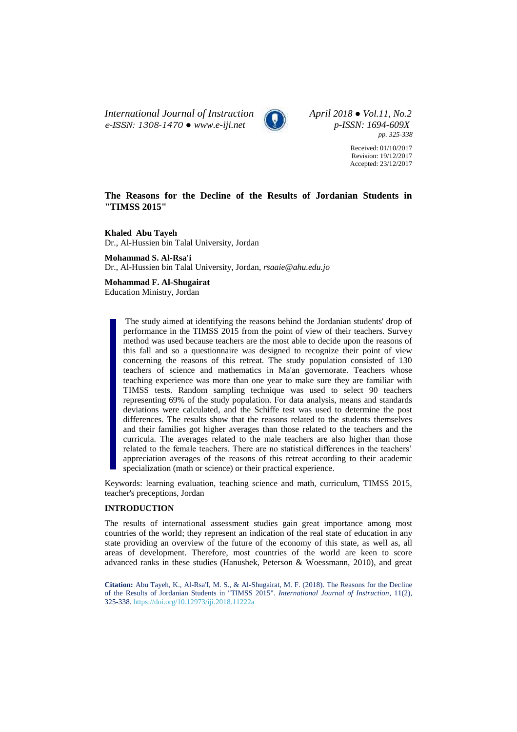*International Journal of Instruction April 2018 ● Vol.11, No.2 e-ISSN: 1308-1470 ● [www.e-iji.net](http://www.e-iji.net/) p-ISSN: 1694-609X*



*pp. 325-338*

Received: 01/10/2017 Revision: 19/12/2017 Accepted: 23/12/2017

# **The Reasons for the Decline of the Results of Jordanian Students in "TIMSS 2015"**

**Khaled Abu Tayeh** Dr., Al-Hussien bin Talal University, Jordan

**Mohammad S. Al-Rsa'i** Dr., Al-Hussien bin Talal University, Jordan, *rsaaie@ahu.edu.jo*

**Mohammad F. Al-Shugairat** Education Ministry, Jordan

> The study aimed at identifying the reasons behind the Jordanian students' drop of performance in the TIMSS 2015 from the point of view of their teachers. Survey method was used because teachers are the most able to decide upon the reasons of this fall and so a questionnaire was designed to recognize their point of view concerning the reasons of this retreat. The study population consisted of 130 teachers of science and mathematics in Ma'an governorate. Teachers whose teaching experience was more than one year to make sure they are familiar with TIMSS tests. Random sampling technique was used to select 90 teachers representing 69% of the study population. For data analysis, means and standards deviations were calculated, and the Schiffe test was used to determine the post differences. The results show that the reasons related to the students themselves and their families got higher averages than those related to the teachers and the curricula. The averages related to the male teachers are also higher than those related to the female teachers. There are no statistical differences in the teachers' appreciation averages of the reasons of this retreat according to their academic specialization (math or science) or their practical experience.

Keywords: learning evaluation, teaching science and math, curriculum, TIMSS 2015, teacher's preceptions, Jordan

## **INTRODUCTION**

The results of international assessment studies gain great importance among most countries of the world; they represent an indication of the real state of education in any state providing an overview of the future of the economy of this state, as well as, all areas of development. Therefore, most countries of the world are keen to score advanced ranks in these studies (Hanushek, Peterson & Woessmann, 2010), and great

**Citation:** Abu Tayeh, K., Al-Rsa'I, M. S., & Al-Shugairat, M. F. (2018). The Reasons for the Decline of the Results of Jordanian Students in "TIMSS 2015". *International Journal of Instruction*, 11(2), 325-338. <https://doi.org/10.12973/iji.2018.11222a>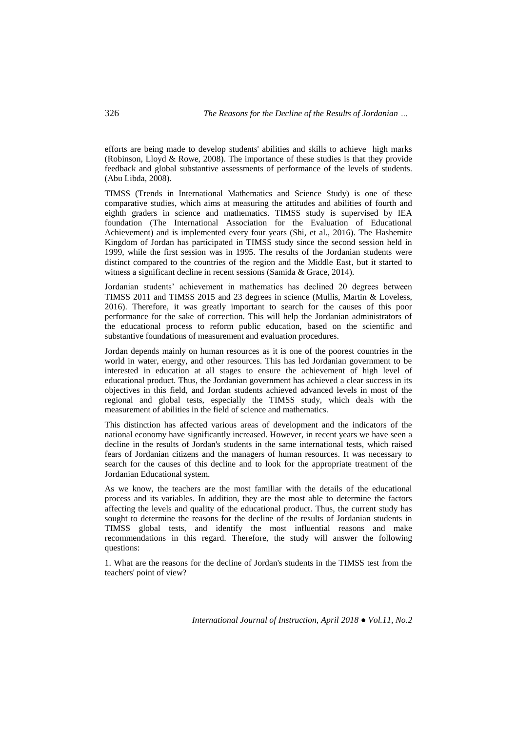efforts are being made to develop students' abilities and skills to achieve high marks (Robinson, Lloyd & Rowe, 2008). The importance of these studies is that they provide feedback and global substantive assessments of performance of the levels of students. (Abu Libda, 2008).

TIMSS (Trends in International Mathematics and Science Study) is one of these comparative studies, which aims at measuring the attitudes and abilities of fourth and eighth graders in science and mathematics. TIMSS study is supervised by IEA foundation (The International Association for the Evaluation of Educational Achievement) and is implemented every four years (Shi, et al., 2016). The Hashemite Kingdom of Jordan has participated in TIMSS study since the second session held in 1999, while the first session was in 1995. The results of the Jordanian students were distinct compared to the countries of the region and the Middle East, but it started to witness a significant decline in recent sessions (Samida & Grace, 2014).

Jordanian students' achievement in mathematics has declined 20 degrees between TIMSS 2011 and TIMSS 2015 and 23 degrees in science (Mullis, Martin & Loveless, 2016). Therefore, it was greatly important to search for the causes of this poor performance for the sake of correction. This will help the Jordanian administrators of the educational process to reform public education, based on the scientific and substantive foundations of measurement and evaluation procedures.

Jordan depends mainly on human resources as it is one of the poorest countries in the world in water, energy, and other resources. This has led Jordanian government to be interested in education at all stages to ensure the achievement of high level of educational product. Thus, the Jordanian government has achieved a clear success in its objectives in this field, and Jordan students achieved advanced levels in most of the regional and global tests, especially the TIMSS study, which deals with the measurement of abilities in the field of science and mathematics.

This distinction has affected various areas of development and the indicators of the national economy have significantly increased. However, in recent years we have seen a decline in the results of Jordan's students in the same international tests, which raised fears of Jordanian citizens and the managers of human resources. It was necessary to search for the causes of this decline and to look for the appropriate treatment of the Jordanian Educational system.

As we know, the teachers are the most familiar with the details of the educational process and its variables. In addition, they are the most able to determine the factors affecting the levels and quality of the educational product. Thus, the current study has sought to determine the reasons for the decline of the results of Jordanian students in TIMSS global tests, and identify the most influential reasons and make recommendations in this regard. Therefore, the study will answer the following questions:

1. What are the reasons for the decline of Jordan's students in the TIMSS test from the teachers' point of view?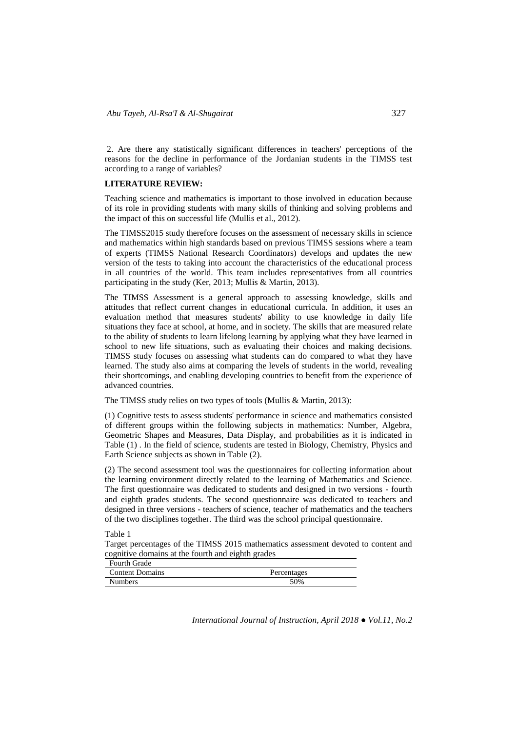2. Are there any statistically significant differences in teachers' perceptions of the reasons for the decline in performance of the Jordanian students in the TIMSS test according to a range of variables?

## **LITERATURE REVIEW:**

Teaching science and mathematics is important to those involved in education because of its role in providing students with many skills of thinking and solving problems and the impact of this on successful life (Mullis et al., 2012).

The TIMSS2015 study therefore focuses on the assessment of necessary skills in science and mathematics within high standards based on previous TIMSS sessions where a team of experts (TIMSS National Research Coordinators) develops and updates the new version of the tests to taking into account the characteristics of the educational process in all countries of the world. This team includes representatives from all countries participating in the study (Ker, 2013; Mullis & Martin, 2013).

The TIMSS Assessment is a general approach to assessing knowledge, skills and attitudes that reflect current changes in educational curricula. In addition, it uses an evaluation method that measures students' ability to use knowledge in daily life situations they face at school, at home, and in society. The skills that are measured relate to the ability of students to learn lifelong learning by applying what they have learned in school to new life situations, such as evaluating their choices and making decisions. TIMSS study focuses on assessing what students can do compared to what they have learned. The study also aims at comparing the levels of students in the world, revealing their shortcomings, and enabling developing countries to benefit from the experience of advanced countries.

The TIMSS study relies on two types of tools (Mullis & Martin, 2013):

(1) Cognitive tests to assess students' performance in science and mathematics consisted of different groups within the following subjects in mathematics: Number, Algebra, Geometric Shapes and Measures, Data Display, and probabilities as it is indicated in Table (1) . In the field of science, students are tested in Biology, Chemistry, Physics and Earth Science subjects as shown in Table (2).

(2) The second assessment tool was the questionnaires for collecting information about the learning environment directly related to the learning of Mathematics and Science. The first questionnaire was dedicated to students and designed in two versions - fourth and eighth grades students. The second questionnaire was dedicated to teachers and designed in three versions - teachers of science, teacher of mathematics and the teachers of the two disciplines together. The third was the school principal questionnaire.

Table 1

Target percentages of the TIMSS 2015 mathematics assessment devoted to content and cognitive domains at the fourth and eighth grades

| <b>Fourth Grade</b>    |             |
|------------------------|-------------|
| <b>Content Domains</b> | Percentages |
| <b>Numbers</b>         | 50%         |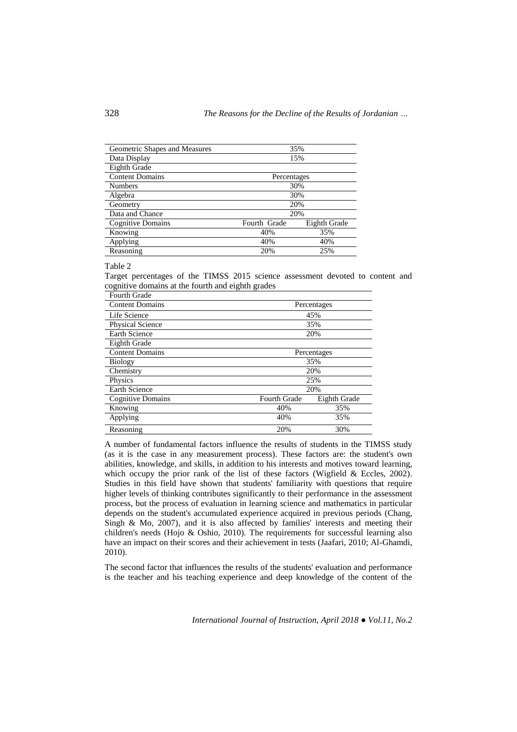| Geometric Shapes and Measures | 35%                          |     |  |
|-------------------------------|------------------------------|-----|--|
| Data Display                  | 15%                          |     |  |
| Eighth Grade                  |                              |     |  |
| <b>Content Domains</b>        | Percentages                  |     |  |
| <b>Numbers</b>                | 30%                          |     |  |
| Algebra                       | 30%                          |     |  |
| Geometry                      | 20%                          |     |  |
| Data and Chance               |                              | 20% |  |
| <b>Cognitive Domains</b>      | Eighth Grade<br>Fourth Grade |     |  |
| Knowing                       | 40%<br>35%                   |     |  |
| Applying                      | 40%                          | 40% |  |
| Reasoning                     | 20%                          | 25% |  |

Table 2

Target percentages of the TIMSS 2015 science assessment devoted to content and cognitive domains at the fourth and eighth grades Fourth Grade

| Fourul Graue             |                                     |             |  |  |
|--------------------------|-------------------------------------|-------------|--|--|
| <b>Content Domains</b>   | Percentages                         |             |  |  |
| Life Science             |                                     | 45%         |  |  |
| <b>Physical Science</b>  |                                     | 35%         |  |  |
| Earth Science            |                                     | 20%         |  |  |
| Eighth Grade             |                                     |             |  |  |
| <b>Content Domains</b>   |                                     | Percentages |  |  |
| <b>Biology</b>           | 35%                                 |             |  |  |
| Chemistry                | 20%                                 |             |  |  |
| Physics                  |                                     | 25%         |  |  |
| Earth Science            |                                     | 20%         |  |  |
| <b>Cognitive Domains</b> | <b>Fourth Grade</b><br>Eighth Grade |             |  |  |
| Knowing                  | 40%                                 | 35%         |  |  |
| Applying                 | 40%                                 | 35%         |  |  |
| Reasoning                | 20%                                 | 30%         |  |  |

A number of fundamental factors influence the results of students in the TIMSS study (as it is the case in any measurement process). These factors are: the student's own abilities, knowledge, and skills, in addition to his interests and motives toward learning, which occupy the prior rank of the list of these factors (Wigfield  $&$  Eccles, 2002). Studies in this field have shown that students' familiarity with questions that require higher levels of thinking contributes significantly to their performance in the assessment process, but the process of evaluation in learning science and mathematics in particular depends on the student's accumulated experience acquired in previous periods (Chang, Singh & Mo, 2007), and it is also affected by families' interests and meeting their children's needs (Hojo & Oshio, 2010). The requirements for successful learning also have an impact on their scores and their achievement in tests (Jaafari, 2010; Al-Ghamdi, 2010).

The second factor that influences the results of the students' evaluation and performance is the teacher and his teaching experience and deep knowledge of the content of the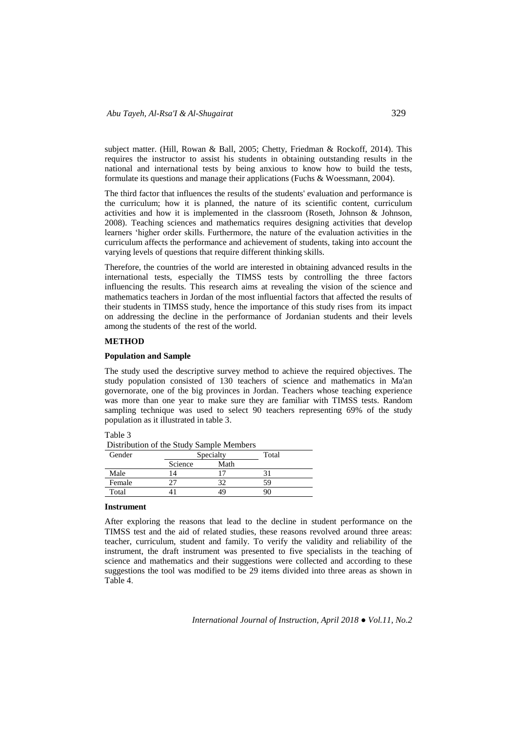subject matter. (Hill, Rowan & Ball, 2005; Chetty, Friedman & Rockoff, 2014). This requires the instructor to assist his students in obtaining outstanding results in the national and international tests by being anxious to know how to build the tests, formulate its questions and manage their applications (Fuchs & Woessmann, 2004).

The third factor that influences the results of the students' evaluation and performance is the curriculum; how it is planned, the nature of its scientific content, curriculum activities and how it is implemented in the classroom (Roseth, Johnson & Johnson, 2008). Teaching sciences and mathematics requires designing activities that develop learners 'higher order skills. Furthermore, the nature of the evaluation activities in the curriculum affects the performance and achievement of students, taking into account the varying levels of questions that require different thinking skills.

Therefore, the countries of the world are interested in obtaining advanced results in the international tests, especially the TIMSS tests by controlling the three factors influencing the results. This research aims at revealing the vision of the science and mathematics teachers in Jordan of the most influential factors that affected the results of their students in TIMSS study, hence the importance of this study rises from its impact on addressing the decline in the performance of Jordanian students and their levels among the students of the rest of the world.

## **METHOD**

## **Population and Sample**

The study used the descriptive survey method to achieve the required objectives. The study population consisted of 130 teachers of science and mathematics in Ma'an governorate, one of the big provinces in Jordan. Teachers whose teaching experience was more than one year to make sure they are familiar with TIMSS tests. Random sampling technique was used to select 90 teachers representing 69% of the study population as it illustrated in table 3.

Table 3

Distribution of the Study Sample Members

| Gender |          | Specialty | Total |
|--------|----------|-----------|-------|
|        | Science  | Math      |       |
| Male   | $\Delta$ |           |       |
| Female |          |           | 59    |
| Total  |          | 4G        |       |
|        |          |           |       |

### **Instrument**

After exploring the reasons that lead to the decline in student performance on the TIMSS test and the aid of related studies, these reasons revolved around three areas: teacher, curriculum, student and family. To verify the validity and reliability of the instrument, the draft instrument was presented to five specialists in the teaching of science and mathematics and their suggestions were collected and according to these suggestions the tool was modified to be 29 items divided into three areas as shown in Table 4.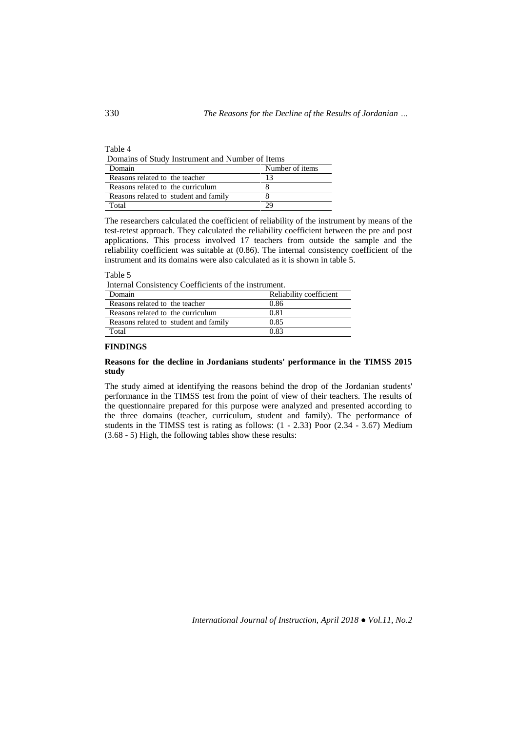Table 4

Domains of Study Instrument and Number of Items

| Domain                                | Number of items |
|---------------------------------------|-----------------|
| Reasons related to the teacher        |                 |
| Reasons related to the curriculum     |                 |
| Reasons related to student and family |                 |
| Total                                 |                 |

The researchers calculated the coefficient of reliability of the instrument by means of the test-retest approach. They calculated the reliability coefficient between the pre and post applications. This process involved 17 teachers from outside the sample and the reliability coefficient was suitable at (0.86). The internal consistency coefficient of the instrument and its domains were also calculated as it is shown in table 5.

Table 5

Internal Consistency Coefficients of the instrument.

| Domain                                | Reliability coefficient |
|---------------------------------------|-------------------------|
| Reasons related to the teacher        | 0.86                    |
| Reasons related to the curriculum     | 0.81                    |
| Reasons related to student and family | 0.85                    |
| Total                                 | በ ጸ3                    |

## **FINDINGS**

## **Reasons for the decline in Jordanians students' performance in the TIMSS 2015 study**

The study aimed at identifying the reasons behind the drop of the Jordanian students' performance in the TIMSS test from the point of view of their teachers. The results of the questionnaire prepared for this purpose were analyzed and presented according to the three domains (teacher, curriculum, student and family). The performance of students in the TIMSS test is rating as follows: (1 - 2.33) Poor (2.34 - 3.67) Medium (3.68 - 5) High, the following tables show these results: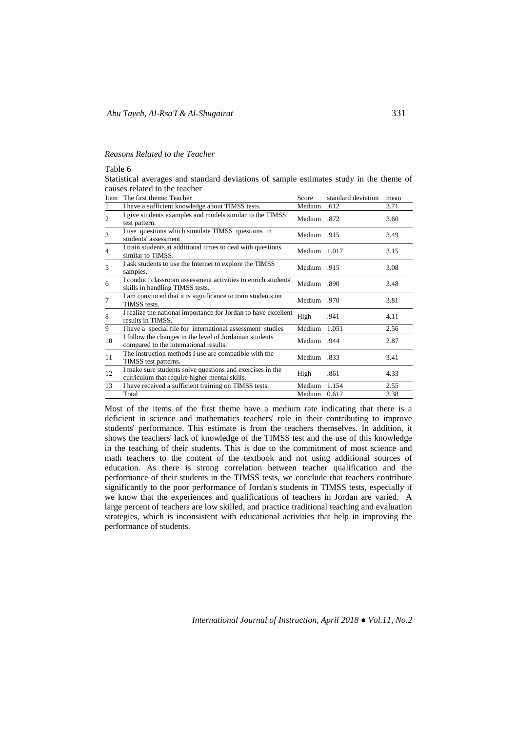### *Reasons Related to the Teacher*

## Table 6

Statistical averages and standard deviations of sample estimates study in the theme of causes related to the teacher

| Item           | The first theme: Teacher                                                                                   | Score        | standard deviation | mean |
|----------------|------------------------------------------------------------------------------------------------------------|--------------|--------------------|------|
|                | I have a sufficient knowledge about TIMSS tests.                                                           | Medium .612  |                    | 3.71 |
| $\overline{c}$ | I give students examples and models similar to the TIMSS<br>test pattern.                                  | 872. Medium  |                    | 3.60 |
| 3              | I use questions which simulate TIMSS questions in<br>students' assessment                                  | 915. Medium  |                    | 3.49 |
| $\overline{4}$ | I train students at additional times to deal with questions<br>similar to TIMSS.                           | Medium 1.017 |                    | 3.15 |
| 5              | I ask students to use the Internet to explore the TIMSS<br>samples.                                        | 915. Medium  |                    | 3.08 |
| 6              | I conduct classroom assessment activities to enrich students'<br>skills in handling TIMSS tests.           | 890. Medium  |                    | 3.48 |
| 7              | I am convinced that it is significance to train students on<br>TIMSS tests.                                | 970. Medium  |                    | 3.81 |
| 8              | I realize the national importance for Jordan to have excellent<br>results in TIMSS.                        | High         | .941               | 4.11 |
| 9              | I have a special file for international assessment studies                                                 | Medium       | 1.051              | 2.56 |
| 10             | I follow the changes in the level of Jordanian students<br>compared to the international results.          | 944. Medium  |                    | 2.87 |
| 11             | The instruction methods I use are compatible with the<br>TIMSS test patterns.                              | 833. Medium  |                    | 3.41 |
| 12             | I make sure students solve questions and exercises in the<br>curriculum that require higher mental skills. | High         | .861               | 4.33 |
| 13             | I have received a sufficient training on TIMSS tests.                                                      | Medium       | 1.154              | 2.55 |
|                | Total                                                                                                      | Medium 0.612 |                    | 3.38 |

Most of the items of the first theme have a medium rate indicating that there is a deficient in science and mathematics teachers' role in their contributing to improve students' performance. This estimate is from the teachers themselves. In addition, it shows the teachers' lack of knowledge of the TIMSS test and the use of this knowledge in the teaching of their students. This is due to the commitment of most science and math teachers to the content of the textbook and not using additional sources of education. As there is strong correlation between teacher qualification and the performance of their students in the TIMSS tests, we conclude that teachers contribute significantly to the poor performance of Jordan's students in TIMSS tests, especially if we know that the experiences and qualifications of teachers in Jordan are varied. A large percent of teachers are low skilled, and practice traditional teaching and evaluation strategies, which is inconsistent with educational activities that help in improving the performance of students.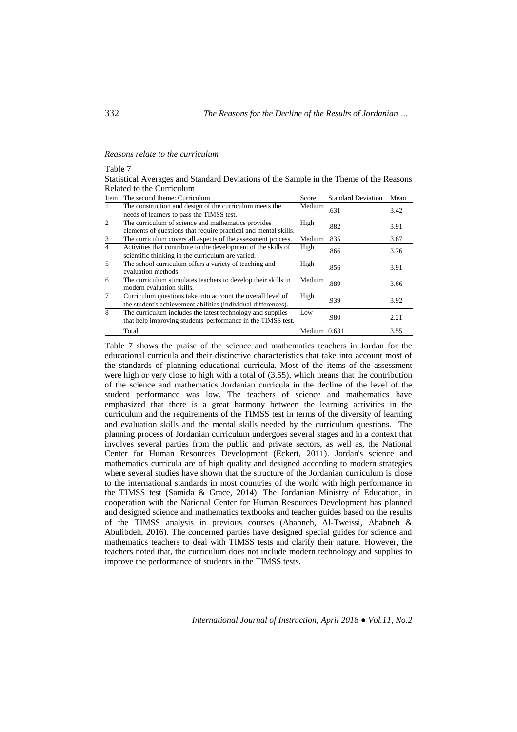#### *Reasons relate to the curriculum*

Table 7

Statistical Averages and Standard Deviations of the Sample in the Theme of the Reasons Related to the Curriculum

| Item                        | The second theme: Curriculum                                                                                                 | Score        | <b>Standard Deviation</b> | Mean |
|-----------------------------|------------------------------------------------------------------------------------------------------------------------------|--------------|---------------------------|------|
| $\mathbf{1}$                | The construction and design of the curriculum meets the<br>needs of learners to pass the TIMSS test.                         | Medium       | .631                      | 3.42 |
| $\mathcal{D}_{\mathcal{L}}$ | The curriculum of science and mathematics provides<br>elements of questions that require practical and mental skills.        | High         | .882                      | 3.91 |
| $\mathcal{R}$               | The curriculum covers all aspects of the assessment process.                                                                 | Medium       | .835                      | 3.67 |
| $\overline{4}$              | Activities that contribute to the development of the skills of<br>scientific thinking in the curriculum are varied.          | High         | .866                      | 3.76 |
| $\overline{5}$              | The school curriculum offers a variety of teaching and<br>evaluation methods.                                                | High         | .856                      | 3.91 |
| 6                           | The curriculum stimulates teachers to develop their skills in<br>modern evaluation skills.                                   | Medium       | .889                      | 3.66 |
| $7\overline{ }$             | Curriculum questions take into account the overall level of<br>the student's achievement abilities (individual differences). | High         | .939                      | 3.92 |
| 8                           | The curriculum includes the latest technology and supplies<br>that help improving students' performance in the TIMSS test.   | Low          | .980                      | 2.21 |
|                             | Total                                                                                                                        | Medium 0.631 |                           | 3.55 |

Table 7 shows the praise of the science and mathematics teachers in Jordan for the educational curricula and their distinctive characteristics that take into account most of the standards of planning educational curricula. Most of the items of the assessment were high or very close to high with a total of (3.55), which means that the contribution of the science and mathematics Jordanian curricula in the decline of the level of the student performance was low. The teachers of science and mathematics have emphasized that there is a great harmony between the learning activities in the curriculum and the requirements of the TIMSS test in terms of the diversity of learning and evaluation skills and the mental skills needed by the curriculum questions. The planning process of Jordanian curriculum undergoes several stages and in a context that involves several parties from the public and private sectors, as well as, the National Center for Human Resources Development (Eckert, 2011). Jordan's science and mathematics curricula are of high quality and designed according to modern strategies where several studies have shown that the structure of the Jordanian curriculum is close to the international standards in most countries of the world with high performance in the TIMSS test (Samida & Grace, 2014). The Jordanian Ministry of Education, in cooperation with the National Center for Human Resources Development has planned and designed science and mathematics textbooks and teacher guides based on the results of the TIMSS analysis in previous courses (Ababneh, Al-Tweissi, Ababneh & Abulibdeh, 2016). The concerned parties have designed special guides for science and mathematics teachers to deal with TIMSS tests and clarify their nature. However, the teachers noted that, the curriculum does not include modern technology and supplies to improve the performance of students in the TIMSS tests.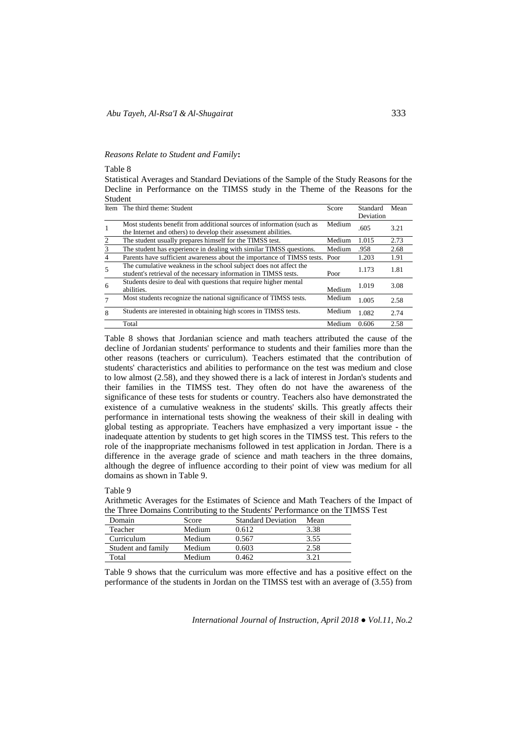#### *Reasons Relate to Student and Family***:**

### Table 8

Statistical Averages and Standard Deviations of the Sample of the Study Reasons for the Decline in Performance on the TIMSS study in the Theme of the Reasons for the Student

| Item           | The third theme: Student                                                                                                                 | Score  | Standard  | Mean |
|----------------|------------------------------------------------------------------------------------------------------------------------------------------|--------|-----------|------|
|                |                                                                                                                                          |        | Deviation |      |
|                | Most students benefit from additional sources of information (such as<br>the Internet and others) to develop their assessment abilities. | Medium | .605      | 3.21 |
| 2              | The student usually prepares himself for the TIMSS test.                                                                                 | Medium | 1.015     | 2.73 |
| 3              | The student has experience in dealing with similar TIMSS questions.                                                                      | Medium | .958      | 2.68 |
| $\overline{4}$ | Parents have sufficient awareness about the importance of TIMSS tests. Poor                                                              |        | 1.203     | 1.91 |
| 5              | The cumulative weakness in the school subject does not affect the<br>student's retrieval of the necessary information in TIMSS tests.    | Poor   | 1.173     | 1.81 |
| 6              | Students desire to deal with questions that require higher mental<br>abilities.                                                          | Medium | 1.019     | 3.08 |
|                | Most students recognize the national significance of TIMSS tests.                                                                        | Medium | 1.005     | 2.58 |
| $\mathbf{8}$   | Students are interested in obtaining high scores in TIMSS tests.                                                                         | Medium | 1.082     | 2.74 |
|                | Total                                                                                                                                    | Medium | 0.606     | 2.58 |

Table 8 shows that Jordanian science and math teachers attributed the cause of the decline of Jordanian students' performance to students and their families more than the other reasons (teachers or curriculum). Teachers estimated that the contribution of students' characteristics and abilities to performance on the test was medium and close to low almost (2.58), and they showed there is a lack of interest in Jordan's students and their families in the TIMSS test. They often do not have the awareness of the significance of these tests for students or country. Teachers also have demonstrated the existence of a cumulative weakness in the students' skills. This greatly affects their performance in international tests showing the weakness of their skill in dealing with global testing as appropriate. Teachers have emphasized a very important issue - the inadequate attention by students to get high scores in the TIMSS test. This refers to the role of the inappropriate mechanisms followed in test application in Jordan. There is a difference in the average grade of science and math teachers in the three domains, although the degree of influence according to their point of view was medium for all domains as shown in Table 9.

### Table 9

Arithmetic Averages for the Estimates of Science and Math Teachers of the Impact of the Three Domains Contributing to the Students' Performance on the TIMSS Test

| Domain             | Score  | <b>Standard Deviation</b> | Mean  |
|--------------------|--------|---------------------------|-------|
| Teacher            | Medium | 0.612                     | 3.38  |
| Curriculum         | Medium | 0.567                     | 3.55  |
| Student and family | Medium | 0.603                     | 2.58  |
| Total              | Medium | 0.462                     | 3 7 1 |

Table 9 shows that the curriculum was more effective and has a positive effect on the performance of the students in Jordan on the TIMSS test with an average of (3.55) from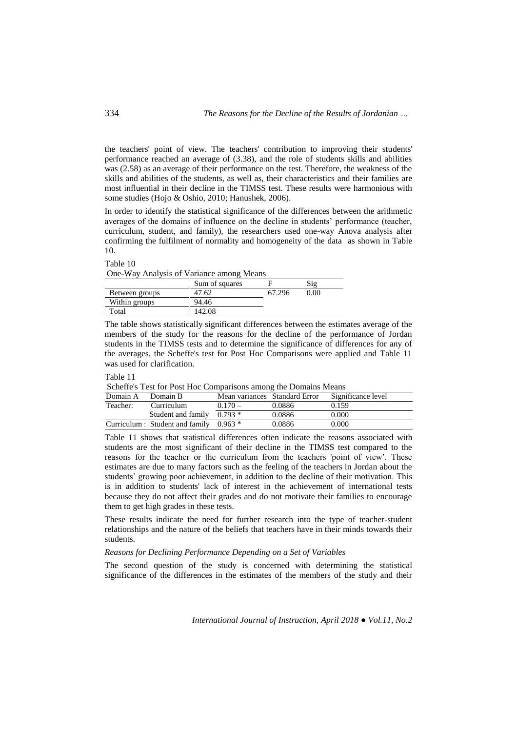the teachers' point of view. The teachers' contribution to improving their students' performance reached an average of (3.38), and the role of students skills and abilities was (2.58) as an average of their performance on the test. Therefore, the weakness of the skills and abilities of the students, as well as, their characteristics and their families are most influential in their decline in the TIMSS test. These results were harmonious with some studies (Hojo & Oshio, 2010; Hanushek, 2006).

In order to identify the statistical significance of the differences between the arithmetic averages of the domains of influence on the decline in students' performance (teacher, curriculum, student, and family), the researchers used one-way Anova analysis after confirming the fulfilment of normality and homogeneity of the data as shown in Table 10.

Table 10 One-Way Analysis of Variance among Means

|                | Sum of squares |        |      |
|----------------|----------------|--------|------|
| Between groups | 7.62           | 67.296 | 0.00 |
| Within groups  | 94.46          |        |      |
| Total          | 142.08         |        |      |
|                |                |        |      |

The table shows statistically significant differences between the estimates average of the members of the study for the reasons for the decline of the performance of Jordan students in the TIMSS tests and to determine the significance of differences for any of the averages, the Scheffe's test for Post Hoc Comparisons were applied and Table 11 was used for clarification.

#### Table 11

Scheffe's Test for Post Hoc Comparisons among the Domains Means

| Domain A | Domain B                                  | Mean variances Standard Error |        | Significance level |
|----------|-------------------------------------------|-------------------------------|--------|--------------------|
| Teacher: | Curriculum                                | $0.170 -$                     | 0.0886 | 0.159              |
|          | Student and family $0.793*$               |                               | 0.0886 | 0.000              |
|          | Curriculum : Student and family $0.963 *$ |                               | 0.0886 | 0.000              |

Table 11 shows that statistical differences often indicate the reasons associated with students are the most significant of their decline in the TIMSS test compared to the reasons for the teacher or the curriculum from the teachers 'point of view'. These estimates are due to many factors such as the feeling of the teachers in Jordan about the students' growing poor achievement, in addition to the decline of their motivation. This is in addition to students' lack of interest in the achievement of international tests because they do not affect their grades and do not motivate their families to encourage them to get high grades in these tests.

These results indicate the need for further research into the type of teacher-student relationships and the nature of the beliefs that teachers have in their minds towards their students.

### *Reasons for Declining Performance Depending on a Set of Variables*

The second question of the study is concerned with determining the statistical significance of the differences in the estimates of the members of the study and their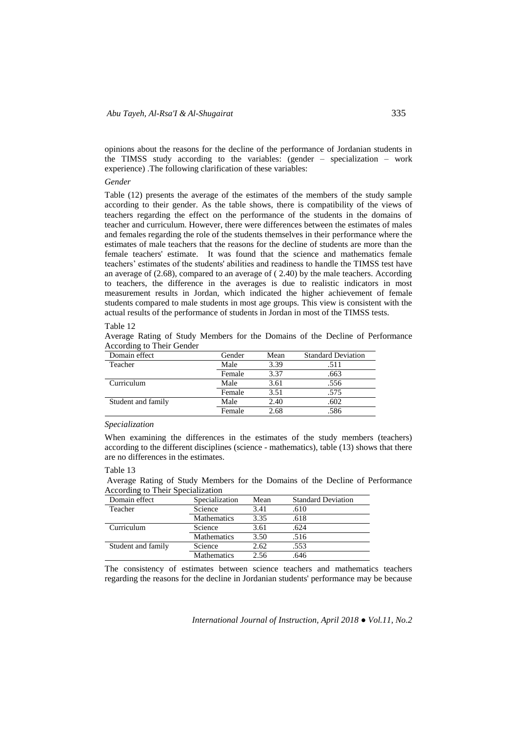opinions about the reasons for the decline of the performance of Jordanian students in the TIMSS study according to the variables: (gender – specialization – work experience) .The following clarification of these variables:

*Gender*

Table (12) presents the average of the estimates of the members of the study sample according to their gender. As the table shows, there is compatibility of the views of teachers regarding the effect on the performance of the students in the domains of teacher and curriculum. However, there were differences between the estimates of males and females regarding the role of the students themselves in their performance where the estimates of male teachers that the reasons for the decline of students are more than the female teachers' estimate. It was found that the science and mathematics female teachers' estimates of the students' abilities and readiness to handle the TIMSS test have an average of (2.68), compared to an average of ( 2.40) by the male teachers. According to teachers, the difference in the averages is due to realistic indicators in most measurement results in Jordan, which indicated the higher achievement of female students compared to male students in most age groups. This view is consistent with the actual results of the performance of students in Jordan in most of the TIMSS tests.

#### Table 12

| Domain effect      | Gender | Mean | <b>Standard Deviation</b> |
|--------------------|--------|------|---------------------------|
| Teacher            | Male   | 3.39 | .511                      |
|                    | Female | 3.37 | .663                      |
| Curriculum         | Male   | 3.61 | .556                      |
|                    | Female | 3.51 | .575                      |
| Student and family | Male   | 2.40 | .602                      |
|                    | Female | 2.68 | .586                      |

Average Rating of Study Members for the Domains of the Decline of Performance According to Their Gender

#### *Specialization*

When examining the differences in the estimates of the study members (teachers) according to the different disciplines (science - mathematics), table (13) shows that there are no differences in the estimates.

#### Table 13

|                                   |  |  |  |  |  | Average Rating of Study Members for the Domains of the Decline of Performance |  |
|-----------------------------------|--|--|--|--|--|-------------------------------------------------------------------------------|--|
| According to Their Specialization |  |  |  |  |  |                                                                               |  |

| Domain effect      | Specialization     | Mean | <b>Standard Deviation</b> |
|--------------------|--------------------|------|---------------------------|
| Teacher            | Science            | 3.41 | .610                      |
|                    | <b>Mathematics</b> | 3.35 | .618                      |
| Curriculum         | Science            | 3.61 | .624                      |
|                    | <b>Mathematics</b> | 3.50 | .516                      |
| Student and family | Science            | 2.62 | .553                      |
|                    | <b>Mathematics</b> | 2.56 | .646                      |

The consistency of estimates between science teachers and mathematics teachers regarding the reasons for the decline in Jordanian students' performance may be because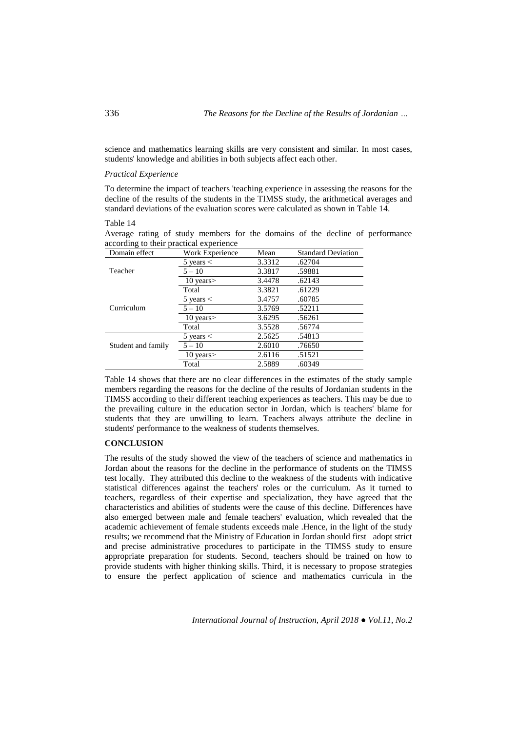science and mathematics learning skills are very consistent and similar. In most cases, students' knowledge and abilities in both subjects affect each other.

## *Practical Experience*

To determine the impact of teachers 'teaching experience in assessing the reasons for the decline of the results of the students in the TIMSS study, the arithmetical averages and standard deviations of the evaluation scores were calculated as shown in Table 14.

### Table 14

Average rating of study members for the domains of the decline of performance according to their practical experience

| Domain effect      | Work Experience | Mean   | <b>Standard Deviation</b> |
|--------------------|-----------------|--------|---------------------------|
|                    | 5 years $<$     | 3.3312 | .62704                    |
| Teacher            | $5 - 10$        | 3.3817 | .59881                    |
|                    | $10$ years $>$  | 3.4478 | .62143                    |
|                    | Total           | 3.3821 | .61229                    |
|                    | 5 years $\le$   | 3.4757 | .60785                    |
| Curriculum         | $5 - 10$        | 3.5769 | .52211                    |
|                    | $10$ years $>$  | 3.6295 | .56261                    |
|                    | Total           | 3.5528 | .56774                    |
|                    | 5 years $\le$   | 2.5625 | .54813                    |
| Student and family | $5 - 10$        | 2.6010 | .76650                    |
|                    | $10$ years $>$  | 2.6116 | .51521                    |
|                    | Total           | 2.5889 | .60349                    |

Table 14 shows that there are no clear differences in the estimates of the study sample members regarding the reasons for the decline of the results of Jordanian students in the TIMSS according to their different teaching experiences as teachers. This may be due to the prevailing culture in the education sector in Jordan, which is teachers' blame for students that they are unwilling to learn. Teachers always attribute the decline in students' performance to the weakness of students themselves.

# **CONCLUSION**

The results of the study showed the view of the teachers of science and mathematics in Jordan about the reasons for the decline in the performance of students on the TIMSS test locally. They attributed this decline to the weakness of the students with indicative statistical differences against the teachers' roles or the curriculum. As it turned to teachers, regardless of their expertise and specialization, they have agreed that the characteristics and abilities of students were the cause of this decline. Differences have also emerged between male and female teachers' evaluation, which revealed that the academic achievement of female students exceeds male .Hence, in the light of the study results; we recommend that the Ministry of Education in Jordan should first adopt strict and precise administrative procedures to participate in the TIMSS study to ensure appropriate preparation for students. Second, teachers should be trained on how to provide students with higher thinking skills. Third, it is necessary to propose strategies to ensure the perfect application of science and mathematics curricula in the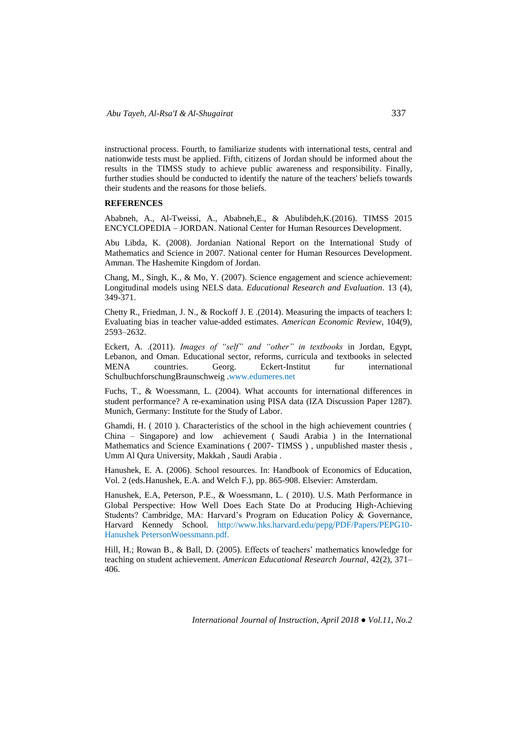instructional process. Fourth, to familiarize students with international tests, central and nationwide tests must be applied. Fifth, citizens of Jordan should be informed about the results in the TIMSS study to achieve public awareness and responsibility. Finally, further studies should be conducted to identify the nature of the teachers' beliefs towards their students and the reasons for those beliefs.

### **REFERENCES**

Ababneh, A., Al-Tweissi, A., Ababneh,E., & Abulibdeh,K.(2016). TIMSS 2015 ENCYCLOPEDIA – JORDAN. National Center for Human Resources Development.

Abu Libda, K. (2008). Jordanian National Report on the International Study of Mathematics and Science in 2007. National center for Human Resources Development. Amman. The Hashemite Kingdom of Jordan.

Chang, M., Singh, K., & Mo, Y. (2007). Science engagement and science achievement: Longitudinal models using NELS data. *Educational Research and Evaluation*. 13 (4), 349-371.

Chetty R., Friedman, J. N., & Rockoff J. E .(2014). Measuring the impacts of teachers I: Evaluating bias in teacher value-added estimates. *American Economic Review*, 104(9), 2593–2632.

Eckert, A. .(2011). *Images of "self" and "other" in textbooks* in Jordan, Egypt, Lebanon, and Oman. Educational sector, reforms, curricula and textbooks in selected MENA countries. Georg. Eckert-Institut fur international SchulbuchforschungBraunschweig [.www.edumeres.net](http://www.edumeres.net/)

Fuchs, T., & Woessmann, L. (2004). What accounts for international differences in student performance? A re-examination using PISA data (IZA Discussion Paper 1287). Munich, Germany: Institute for the Study of Labor.

Ghamdi, H. ( 2010 ). Characteristics of the school in the high achievement countries ( China – Singapore) and low achievement ( Saudi Arabia ) in the International Mathematics and Science Examinations ( 2007- TIMSS ) , unpublished master thesis , Umm Al Qura University, Makkah , Saudi Arabia .

Hanushek, E. A. (2006). School resources. In: Handbook of Economics of Education, Vol. 2 (eds.Hanushek, E.A. and Welch F.), pp. 865-908. Elsevier: Amsterdam.

Hanushek, E.A, Peterson, P.E., & Woessmann, L. ( 2010). U.S. Math Performance in Global Perspective: How Well Does Each State Do at Producing High-Achieving Students? Cambridge, MA: Harvard's Program on Education Policy & Governance, Harvard Kennedy School. [http://www.hks.harvard.edu/pepg/PDF/Papers/PEPG10-](http://www.hks.harvard.edu/pepg/PDF/Papers/PEPG10-Hanushek) [Hanushek](http://www.hks.harvard.edu/pepg/PDF/Papers/PEPG10-Hanushek) PetersonWoessmann.pdf.

Hill, H.; Rowan B., & Ball, D. (2005). Effects of teachers' mathematics knowledge for teaching on student achievement. *American Educational Research Journal*, 42(2), 371– 406.